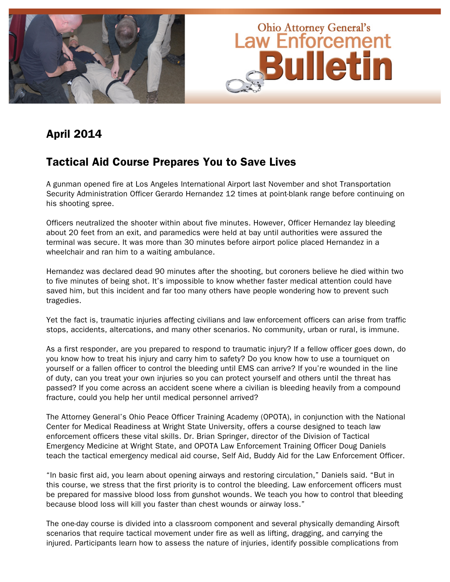

# April 2014

# Tactical Aid Course Prepares You to Save Lives

A gunman opened fire at Los Angeles International Airport last November and shot Transportation Security Administration Officer Gerardo Hernandez 12 times at point-blank range before continuing on his shooting spree.

Officers neutralized the shooter within about five minutes. However, Officer Hernandez lay bleeding about 20 feet from an exit, and paramedics were held at bay until authorities were assured the terminal was secure. It was more than 30 minutes before airport police placed Hernandez in a wheelchair and ran him to a waiting ambulance.

Hernandez was declared dead 90 minutes after the shooting, but coroners believe he died within two to five minutes of being shot. It's impossible to know whether faster medical attention could have saved him, but this incident and far too many others have people wondering how to prevent such tragedies.

Yet the fact is, traumatic injuries affecting civilians and law enforcement officers can arise from traffic stops, accidents, altercations, and many other scenarios. No community, urban or rural, is immune.

As a first responder, are you prepared to respond to traumatic injury? If a fellow officer goes down, do you know how to treat his injury and carry him to safety? Do you know how to use a tourniquet on yourself or a fallen officer to control the bleeding until EMS can arrive? If you're wounded in the line of duty, can you treat your own injuries so you can protect yourself and others until the threat has passed? If you come across an accident scene where a civilian is bleeding heavily from a compound fracture, could you help her until medical personnel arrived?

The Attorney General's Ohio Peace Officer Training Academy (OPOTA), in conjunction with the National Center for Medical Readiness at Wright State University, offers a course designed to teach law enforcement officers these vital skills. Dr. Brian Springer, director of the Division of Tactical Emergency Medicine at Wright State, and OPOTA Law Enforcement Training Officer Doug Daniels teach the tactical emergency medical aid course, Self Aid, Buddy Aid for the Law Enforcement Officer.

"In basic first aid, you learn about opening airways and restoring circulation," Daniels said. "But in this course, we stress that the first priority is to control the bleeding. Law enforcement officers must be prepared for massive blood loss from gunshot wounds. We teach you how to control that bleeding because blood loss will kill you faster than chest wounds or airway loss."

The one-day course is divided into a classroom component and several physically demanding Airsoft scenarios that require tactical movement under fire as well as lifting, dragging, and carrying the injured. Participants learn how to assess the nature of injuries, identify possible complications from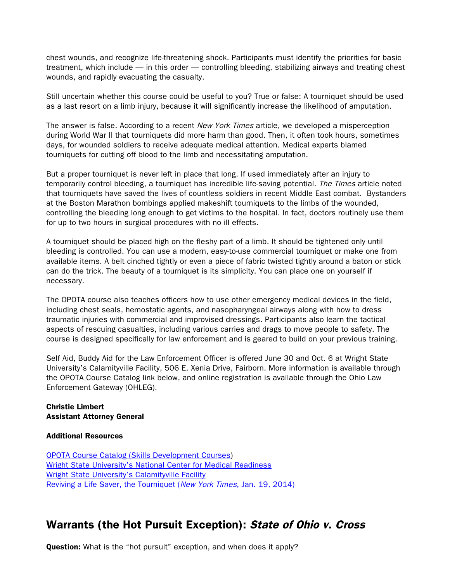chest wounds, and recognize life-threatening shock. Participants must identify the priorities for basic treatment, which include — in this order — controlling bleeding, stabilizing airways and treating chest wounds, and rapidly evacuating the casualty.

Still uncertain whether this course could be useful to you? True or false: A tourniquet should be used as a last resort on a limb injury, because it will significantly increase the likelihood of amputation.

The answer is false. According to a recent *New York Times* article, we developed a misperception during World War II that tourniquets did more harm than good. Then, it often took hours, sometimes days, for wounded soldiers to receive adequate medical attention. Medical experts blamed tourniquets for cutting off blood to the limb and necessitating amputation.

But a proper tourniquet is never left in place that long. If used immediately after an injury to temporarily control bleeding, a tourniquet has incredible life-saving potential. The Times article noted that tourniquets have saved the lives of countless soldiers in recent Middle East combat. Bystanders at the Boston Marathon bombings applied makeshift tourniquets to the limbs of the wounded, controlling the bleeding long enough to get victims to the hospital. In fact, doctors routinely use them for up to two hours in surgical procedures with no ill effects.

A tourniquet should be placed high on the fleshy part of a limb. It should be tightened only until bleeding is controlled. You can use a modern, easy-to-use commercial tourniquet or make one from available items. A belt cinched tightly or even a piece of fabric twisted tightly around a baton or stick can do the trick. The beauty of a tourniquet is its simplicity. You can place one on yourself if necessary.

The OPOTA course also teaches officers how to use other emergency medical devices in the field, including chest seals, hemostatic agents, and nasopharyngeal airways along with how to dress traumatic injuries with commercial and improvised dressings. Participants also learn the tactical aspects of rescuing casualties, including various carries and drags to move people to safety. The course is designed specifically for law enforcement and is geared to build on your previous training.

Self Aid, Buddy Aid for the Law Enforcement Officer is offered June 30 and Oct. 6 at Wright State University's Calamityville Facility, 506 E. Xenia Drive, Fairborn. More information is available through the OPOTA Course Catalog link below, and online registration is available through the Ohio Law Enforcement Gateway (OHLEG).

## Christie Limbert Assistant Attorney General

## Additional Resources

[OPOTA Course Catalog \(Skills Development Courses\)](http://www.ohioattorneygeneral.gov/Law-Enforcement/Ohio-Peace-Officer-Training-Academy/Course-Catalog/Course-Categories/Skills-Development-Courses) Wright State University's [National Center for Medical Readiness](http://www.med.wright.edu/medicalreadiness) [Wright State University's](http://med.wright.edu/medicalreadiness/calamityville) Calamityville Facility [Reviving a Life Saver, the Tourniquet \(](http://www.nytimes.com/2014/01/21/science/reviving-a-life-saver.html?_r=0)New York Times, Jan. 19, 2014)

# Warrants (the Hot Pursuit Exception): State of Ohio v. Cross

**Question:** What is the "hot pursuit" exception, and when does it apply?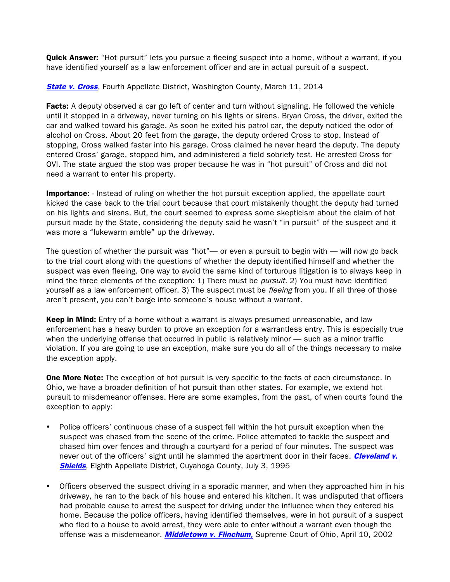**Quick Answer:** "Hot pursuit" lets you pursue a fleeing suspect into a home, without a warrant, if you have identified yourself as a law enforcement officer and are in actual pursuit of a suspect.

**[State v. Cross](http://www.sconet.state.oh.us/rod/docs/pdf/4/2014/2014-ohio-1046.pdf)**, Fourth Appellate District, Washington County, March 11, 2014

**Facts:** A deputy observed a car go left of center and turn without signaling. He followed the vehicle until it stopped in a driveway, never turning on his lights or sirens. Bryan Cross, the driver, exited the car and walked toward his garage. As soon he exited his patrol car, the deputy noticed the odor of alcohol on Cross. About 20 feet from the garage, the deputy ordered Cross to stop. Instead of stopping, Cross walked faster into his garage. Cross claimed he never heard the deputy. The deputy entered Cross' garage, stopped him, and administered a field sobriety test. He arrested Cross for OVI. The state argued the stop was proper because he was in "hot pursuit" of Cross and did not need a warrant to enter his property.

**Importance:** - Instead of ruling on whether the hot pursuit exception applied, the appellate court kicked the case back to the trial court because that court mistakenly thought the deputy had turned on his lights and sirens. But, the court seemed to express some skepticism about the claim of hot pursuit made by the State, considering the deputy said he wasn't "in pursuit" of the suspect and it was more a "lukewarm amble" up the driveway.

The question of whether the pursuit was "hot"— or even a pursuit to begin with — will now go back to the trial court along with the questions of whether the deputy identified himself and whether the suspect was even fleeing. One way to avoid the same kind of torturous litigation is to always keep in mind the three elements of the exception: 1) There must be *pursuit*. 2) You must have identified yourself as a law enforcement officer. 3) The suspect must be *fleeing* from you. If all three of those aren't present, you can't barge into someone's house without a warrant.

Keep in Mind: Entry of a home without a warrant is always presumed unreasonable, and law enforcement has a heavy burden to prove an exception for a warrantless entry. This is especially true when the underlying offense that occurred in public is relatively minor — such as a minor traffic violation. If you are going to use an exception, make sure you do all of the things necessary to make the exception apply.

**One More Note:** The exception of hot pursuit is very specific to the facts of each circumstance. In Ohio, we have a broader definition of hot pursuit than other states. For example, we extend hot pursuit to misdemeanor offenses. Here are some examples, from the past, of when courts found the exception to apply:

- Police officers' continuous chase of a suspect fell within the hot pursuit exception when the suspect was chased from the scene of the crime. Police attempted to tackle the suspect and chased him over fences and through a courtyard for a period of four minutes. The suspect was never out of the officers' sight until he slammed the apartment door in their faces. Cleveland v. **[Shields](http://www.leagle.com/decision/1995223105OhioApp3d118_1203.xml/CITY OF CLEVELAND v. SHIELDS)**, Eighth Appellate District, Cuyahoga County, July 3, 1995
- Officers observed the suspect driving in a sporadic manner, and when they approached him in his driveway, he ran to the back of his house and entered his kitchen. It was undisputed that officers had probable cause to arrest the suspect for driving under the influence when they entered his home. Because the police officers, having identified themselves, were in hot pursuit of a suspect who fled to a house to avoid arrest, they were able to enter without a warrant even though the offense was a misdemeanor. *[Middletown v. Flinchum](http://www.sconet.state.oh.us/rod/docs/pdf/0/2002/2002-ohio-1625.pdf)*, Supreme Court of Ohio, April 10, 2002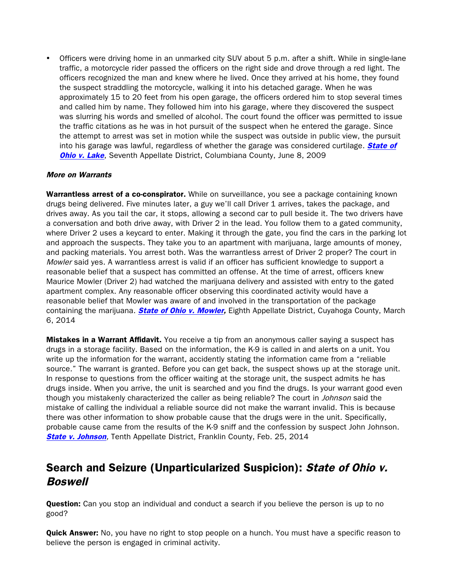• Officers were driving home in an unmarked city SUV about 5 p.m. after a shift. While in single-lane traffic, a motorcycle rider passed the officers on the right side and drove through a red light. The officers recognized the man and knew where he lived. Once they arrived at his home, they found the suspect straddling the motorcycle, walking it into his detached garage. When he was approximately 15 to 20 feet from his open garage, the officers ordered him to stop several times and called him by name. They followed him into his garage, where they discovered the suspect was slurring his words and smelled of alcohol. The court found the officer was permitted to issue the traffic citations as he was in hot pursuit of the suspect when he entered the garage. Since the attempt to arrest was set in motion while the suspect was outside in public view, the pursuit into his garage was lawful, regardless of whether the garage was considered curtilage. **State of [Ohio v. Lake](http://www.sconet.state.oh.us/rod/docs/pdf/7/2009/2009-ohio-3057.pdf), Seventh Appellate District, Columbiana County, June 8, 2009** 

## More on Warrants

Warrantless arrest of a co-conspirator. While on surveillance, you see a package containing known drugs being delivered. Five minutes later, a guy we'll call Driver 1 arrives, takes the package, and drives away. As you tail the car, it stops, allowing a second car to pull beside it. The two drivers have a conversation and both drive away, with Driver 2 in the lead. You follow them to a gated community, where Driver 2 uses a keycard to enter. Making it through the gate, you find the cars in the parking lot and approach the suspects. They take you to an apartment with marijuana, large amounts of money, and packing materials. You arrest both. Was the warrantless arrest of Driver 2 proper? The court in Mowler said yes. A warrantless arrest is valid if an officer has sufficient knowledge to support a reasonable belief that a suspect has committed an offense. At the time of arrest, officers knew Maurice Mowler (Driver 2) had watched the marijuana delivery and assisted with entry to the gated apartment complex. Any reasonable officer observing this coordinated activity would have a reasonable belief that Mowler was aware of and involved in the transportation of the package containing the marijuana. **[State of Ohio v. Mowler,](http://www.sconet.state.oh.us/rod/docs/pdf/8/2014/2014-ohio-831.pdf)** Eighth Appellate District, Cuyahoga County, March 6, 2014

**Mistakes in a Warrant Affidavit.** You receive a tip from an anonymous caller saying a suspect has drugs in a storage facility. Based on the information, the K-9 is called in and alerts on a unit. You write up the information for the warrant, accidently stating the information came from a "reliable source." The warrant is granted. Before you can get back, the suspect shows up at the storage unit. In response to questions from the officer waiting at the storage unit, the suspect admits he has drugs inside. When you arrive, the unit is searched and you find the drugs. Is your warrant good even though you mistakenly characterized the caller as being reliable? The court in Johnson said the mistake of calling the individual a reliable source did not make the warrant invalid. This is because there was other information to show probable cause that the drugs were in the unit. Specifically, probable cause came from the results of the K-9 sniff and the confession by suspect John Johnson. **[State v. Johnson](http://www.supremecourt.ohio.gov/rod/docs/pdf/10/2014/2014-ohio-671.pdf)**, Tenth Appellate District, Franklin County, Feb. 25, 2014

# Search and Seizure (Unparticularized Suspicion): State of Ohio v. **Boswell**

**Question:** Can you stop an individual and conduct a search if you believe the person is up to no good?

**Quick Answer:** No, you have no right to stop people on a hunch. You must have a specific reason to believe the person is engaged in criminal activity.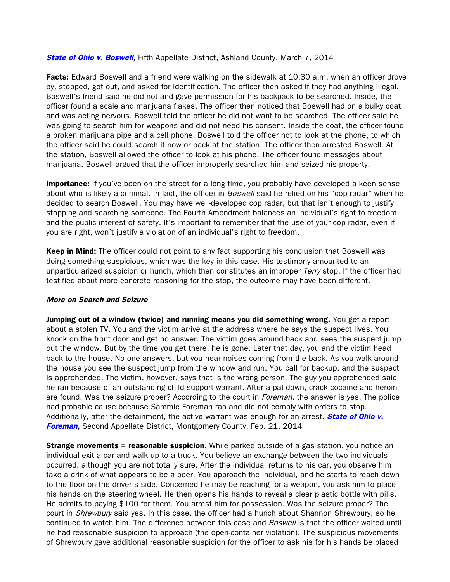#### **[State of Ohio v. Boswell,](http://www.supremecourt.ohio.gov/rod/docs/pdf/5/2014/2014-ohio-886.pdf)** Fifth Appellate District, Ashland County, March 7, 2014

Facts: Edward Boswell and a friend were walking on the sidewalk at 10:30 a.m. when an officer drove by, stopped, got out, and asked for identification. The officer then asked if they had anything illegal. Boswell's friend said he did not and gave permission for his backpack to be searched. Inside, the officer found a scale and marijuana flakes. The officer then noticed that Boswell had on a bulky coat and was acting nervous. Boswell told the officer he did not want to be searched. The officer said he was going to search him for weapons and did not need his consent. Inside the coat, the officer found a broken marijuana pipe and a cell phone. Boswell told the officer not to look at the phone, to which the officer said he could search it now or back at the station. The officer then arrested Boswell. At the station, Boswell allowed the officer to look at his phone. The officer found messages about marijuana. Boswell argued that the officer improperly searched him and seized his property.

**Importance:** If you've been on the street for a long time, you probably have developed a keen sense about who is likely a criminal. In fact, the officer in *Boswell* said he relied on his "cop radar" when he decided to search Boswell. You may have well-developed cop radar, but that isn't enough to justify stopping and searching someone. The Fourth Amendment balances an individual's right to freedom and the public interest of safety. It's important to remember that the use of your cop radar, even if you are right, won't justify a violation of an individual's right to freedom.

Keep in Mind: The officer could not point to any fact supporting his conclusion that Boswell was doing something suspicious, which was the key in this case. His testimony amounted to an unparticularized suspicion or hunch, which then constitutes an improper Terry stop. If the officer had testified about more concrete reasoning for the stop, the outcome may have been different.

#### More on Search and Seizure

Jumping out of a window (twice) and running means you did something wrong. You get a report about a stolen TV. You and the victim arrive at the address where he says the suspect lives. You knock on the front door and get no answer. The victim goes around back and sees the suspect jump out the window. But by the time you get there, he is gone. Later that day, you and the victim head back to the house. No one answers, but you hear noises coming from the back. As you walk around the house you see the suspect jump from the window and run. You call for backup, and the suspect is apprehended. The victim, however, says that is the wrong person. The guy you apprehended said he ran because of an outstanding child support warrant. After a pat-down, crack cocaine and heroin are found. Was the seizure proper? According to the court in *Foreman*, the answer is yes. The police had probable cause because Sammie Foreman ran and did not comply with orders to stop. Additionally, after the detainment, the active warrant was enough for an arrest. **State of Ohio v. [Foreman,](http://www.sconet.state.oh.us/rod/docs/pdf/2/2014/2014-ohio-626.pdf)** Second Appellate District, Montgomery County, Feb. 21, 2014

**Strange movements = reasonable suspicion.** While parked outside of a gas station, you notice an individual exit a car and walk up to a truck. You believe an exchange between the two individuals occurred, although you are not totally sure. After the individual returns to his car, you observe him take a drink of what appears to be a beer. You approach the individual, and he starts to reach down to the floor on the driver's side. Concerned he may be reaching for a weapon, you ask him to place his hands on the steering wheel. He then opens his hands to reveal a clear plastic bottle with pills. He admits to paying \$100 for them. You arrest him for possession. Was the seizure proper? The court in Shrewbury said yes. In this case, the officer had a hunch about Shannon Shrewbury, so he continued to watch him. The difference between this case and *Boswell* is that the officer waited until he had reasonable suspicion to approach (the open-container violation). The suspicious movements of Shrewbury gave additional reasonable suspicion for the officer to ask his for his hands be placed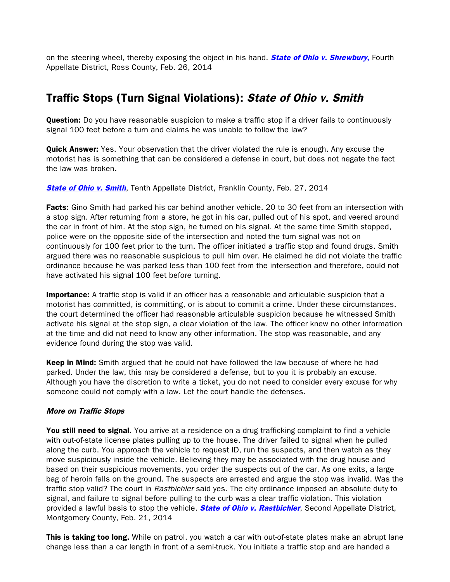on the steering wheel, thereby exposing the object in his hand. **[State of Ohio v. Shrewbury](http://www.sconet.state.oh.us/rod/docs/pdf/4/2014/2014-ohio-716.pdf),** Fourth Appellate District, Ross County, Feb. 26, 2014

# Traffic Stops (Turn Signal Violations): State of Ohio v. Smith

**Question:** Do you have reasonable suspicion to make a traffic stop if a driver fails to continuously signal 100 feet before a turn and claims he was unable to follow the law?

**Quick Answer:** Yes. Your observation that the driver violated the rule is enough. Any excuse the motorist has is something that can be considered a defense in court, but does not negate the fact the law was broken.

## **[State of Ohio v. Smith](http://www.sconet.state.oh.us/rod/docs/pdf/10/2014/2014-ohio-712.pdf), Tenth Appellate District, Franklin County, Feb. 27, 2014**

Facts: Gino Smith had parked his car behind another vehicle, 20 to 30 feet from an intersection with a stop sign. After returning from a store, he got in his car, pulled out of his spot, and veered around the car in front of him. At the stop sign, he turned on his signal. At the same time Smith stopped, police were on the opposite side of the intersection and noted the turn signal was not on continuously for 100 feet prior to the turn. The officer initiated a traffic stop and found drugs. Smith argued there was no reasonable suspicious to pull him over. He claimed he did not violate the traffic ordinance because he was parked less than 100 feet from the intersection and therefore, could not have activated his signal 100 feet before turning.

**Importance:** A traffic stop is valid if an officer has a reasonable and articulable suspicion that a motorist has committed, is committing, or is about to commit a crime. Under these circumstances, the court determined the officer had reasonable articulable suspicion because he witnessed Smith activate his signal at the stop sign, a clear violation of the law. The officer knew no other information at the time and did not need to know any other information. The stop was reasonable, and any evidence found during the stop was valid.

Keep in Mind: Smith argued that he could not have followed the law because of where he had parked. Under the law, this may be considered a defense, but to you it is probably an excuse. Although you have the discretion to write a ticket, you do not need to consider every excuse for why someone could not comply with a law. Let the court handle the defenses.

## More on Traffic Stops

**You still need to signal.** You arrive at a residence on a drug trafficking complaint to find a vehicle with out-of-state license plates pulling up to the house. The driver failed to signal when he pulled along the curb. You approach the vehicle to request ID, run the suspects, and then watch as they move suspiciously inside the vehicle. Believing they may be associated with the drug house and based on their suspicious movements, you order the suspects out of the car. As one exits, a large bag of heroin falls on the ground. The suspects are arrested and argue the stop was invalid. Was the traffic stop valid? The court in Rastbichler said yes. The city ordinance imposed an absolute duty to signal, and failure to signal before pulling to the curb was a clear traffic violation. This violation provided a lawful basis to stop the vehicle. **[State of Ohio v. Rastbichler](http://www.supremecourt.ohio.gov/rod/docs/pdf/2/2014/2014-ohio-628.pdf)**, Second Appellate District, Montgomery County, Feb. 21, 2014

This is taking too long. While on patrol, you watch a car with out-of-state plates make an abrupt lane change less than a car length in front of a semi-truck. You initiate a traffic stop and are handed a